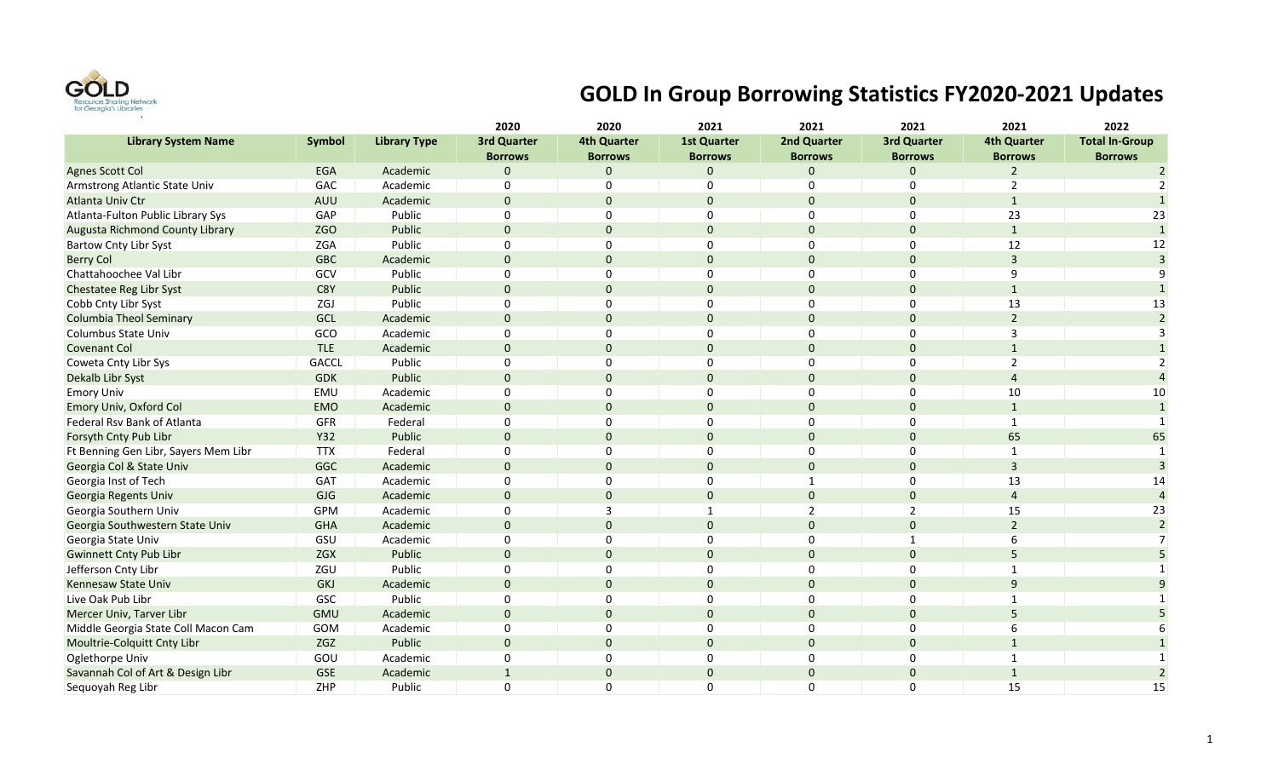

## **GOLD In Group Borrowing Statistics FY2020-2021 Updates**

|                                        |               |                     | 2020               | 2020               | 2021               | 2021           | 2021               | 2021               | 2022                  |
|----------------------------------------|---------------|---------------------|--------------------|--------------------|--------------------|----------------|--------------------|--------------------|-----------------------|
| <b>Library System Name</b>             | <b>Symbol</b> | <b>Library Type</b> | <b>3rd Quarter</b> | <b>4th Quarter</b> | <b>1st Quarter</b> | 2nd Quarter    | <b>3rd Quarter</b> | <b>4th Quarter</b> | <b>Total In-Group</b> |
|                                        |               |                     | <b>Borrows</b>     | <b>Borrows</b>     | <b>Borrows</b>     | <b>Borrows</b> | <b>Borrows</b>     | <b>Borrows</b>     | <b>Borrows</b>        |
| <b>Agnes Scott Col</b>                 | <b>EGA</b>    | Academic            | $\mathbf 0$        | $\mathbf{0}$       | $\Omega$           | $\Omega$       | $\Omega$           | $\overline{2}$     | $\overline{2}$        |
| Armstrong Atlantic State Univ          | GAC           | Academic            | $\Omega$           | $\Omega$           | $\Omega$           | $\Omega$       | $\Omega$           | 2                  | 2                     |
| <b>Atlanta Univ Ctr</b>                | <b>AUU</b>    | Academic            | $\mathbf 0$        | $\mathbf{0}$       | $\Omega$           | $\Omega$       | $\Omega$           | $\mathbf{1}$       |                       |
| Atlanta-Fulton Public Library Sys      | GAP           | Public              | $\Omega$           | 0                  | $\Omega$           | 0              | 0                  | 23                 | 23                    |
| <b>Augusta Richmond County Library</b> | ZGO           | Public              | $\mathbf 0$        | 0                  |                    | $\Omega$       | $\Omega$           | $\mathbf{1}$       | $\mathbf{1}$          |
| <b>Bartow Cnty Libr Syst</b>           | ZGA           | Public              | 0                  | $\Omega$           | $\Omega$           | $\mathbf 0$    | $\mathbf 0$        | 12                 | 12                    |
| <b>Berry Col</b>                       | <b>GBC</b>    | Academic            | $\Omega$           | 0                  | $\mathbf{0}$       | $\mathbf{0}$   | $\Omega$           | $\overline{3}$     | $\overline{3}$        |
| Chattahoochee Val Libr                 | GCV           | Public              | $\Omega$           | $\Omega$           | $\Omega$           | $\mathbf 0$    | $\Omega$           | 9                  |                       |
| Chestatee Reg Libr Syst                | C8Y           | Public              | $\mathbf 0$        | $\mathbf{0}$       | $\Omega$           | $\overline{0}$ | $\Omega$           | $\mathbf{1}$       |                       |
| Cobb Cnty Libr Syst                    | ZGJ           | Public              | $\Omega$           | 0                  | $\Omega$           | $\Omega$       | $\mathbf 0$        | 13                 | 13                    |
| <b>Columbia Theol Seminary</b>         | GCL           | Academic            | $\Omega$           | $\mathbf{0}$       |                    | $\Omega$       | $\Omega$           | $\overline{2}$     | $\overline{2}$        |
| Columbus State Univ                    | GCO           | Academic            | $\Omega$           | 0                  |                    | $\Omega$       | $\Omega$           | $\overline{3}$     |                       |
| <b>Covenant Col</b>                    | <b>TLE</b>    | Academic            | $\mathbf 0$        | 0                  | $\Omega$           | $\Omega$       | $\Omega$           | $\mathbf{1}$       |                       |
| Coweta Cnty Libr Sys                   | <b>GACCL</b>  | Public              | $\mathbf 0$        | 0                  | $\Omega$           | 0              | $\Omega$           | $\overline{2}$     |                       |
| Dekalb Libr Syst                       | <b>GDK</b>    | Public              | $\mathbf 0$        | $\mathbf{0}$       | $\Omega$           | $\mathbf{0}$   | $\Omega$           | $\overline{4}$     |                       |
| <b>Emory Univ</b>                      | EMU           | Academic            | $\Omega$           | $\Omega$           | $\Omega$           | $\mathbf 0$    | $\mathbf 0$        | 10                 | 10                    |
| Emory Univ, Oxford Col                 | <b>EMO</b>    | Academic            | $\Omega$           | $\Omega$           | $\Omega$           | $\Omega$       | $\Omega$           | $\mathbf{1}$       | 1                     |
| Federal Rsv Bank of Atlanta            | <b>GFR</b>    | Federal             | $\Omega$           | 0                  | $\Omega$           | $\Omega$       | $\Omega$           | $\mathbf{1}$       |                       |
| Forsyth Cnty Pub Libr                  | Y32           | Public              | $\mathbf 0$        | 0                  |                    | $\Omega$       | $\Omega$           | 65                 | 65                    |
| Ft Benning Gen Libr, Sayers Mem Libr   | <b>TTX</b>    | Federal             | $\pmb{0}$          | 0                  | 0                  | $\mathbf 0$    | $\mathbf 0$        | $\mathbf{1}$       |                       |
| Georgia Col & State Univ               | GGC           | Academic            | $\mathbf 0$        | $\mathbf{0}$       | $\mathbf{0}$       | $\mathbf 0$    | $\mathbf 0$        | $\overline{3}$     |                       |
| Georgia Inst of Tech                   | GAT           | Academic            | $\mathbf 0$        | 0                  | 0                  | 1              | $\mathbf 0$        | 13                 | 14                    |
| Georgia Regents Univ                   | <b>GJG</b>    | Academic            | $\mathbf 0$        | $\mathbf{0}$       | $\Omega$           | $\mathbf{0}$   | $\Omega$           | $\overline{4}$     |                       |
| Georgia Southern Univ                  | <b>GPM</b>    | Academic            | $\mathbf 0$        | 3                  |                    | $\overline{2}$ | $\overline{2}$     | 15                 | 23                    |
| Georgia Southwestern State Univ        | <b>GHA</b>    | Academic            | $\Omega$           | $\Omega$           | $\Omega$           | $\Omega$       | $\Omega$           | $\overline{2}$     | $\overline{2}$        |
| Georgia State Univ                     | GSU           | Academic            | $\Omega$           | 0                  |                    | $\Omega$       | $\mathbf 1$        | 6                  |                       |
| <b>Gwinnett Cnty Pub Libr</b>          | ZGX           | Public              | $\mathbf 0$        | $\mathbf{0}$       | $\Omega$           | $\mathbf{0}$   | $\Omega$           | 5                  |                       |
| Jefferson Cnty Libr                    | ZGU           | Public              | $\Omega$           | 0                  | $\Omega$           | $\mathbf 0$    | $\mathbf 0$        | 1                  |                       |
| <b>Kennesaw State Univ</b>             | GKJ           | Academic            | $\Omega$           | $\mathbf{0}$       | $\Omega$           | $\Omega$       | $\Omega$           | 9                  |                       |
| Live Oak Pub Libr                      | GSC           | Public              | $\Omega$           | $\Omega$           | $\Omega$           | $\Omega$       | $\Omega$           | $\mathbf{1}$       |                       |
| Mercer Univ, Tarver Libr               | GMU           | Academic            | $\mathbf 0$        | $\mathbf{0}$       | $\Omega$           | $\Omega$       | $\Omega$           | 5                  |                       |
| Middle Georgia State Coll Macon Cam    | GOM           | Academic            | 0                  | 0                  | $\Omega$           | $\Omega$       | $\Omega$           | 6                  |                       |
| Moultrie-Colquitt Cnty Libr            | ZGZ           | Public              | $\mathbf 0$        | 0                  |                    | $\Omega$       | $\Omega$           | $\mathbf{1}$       |                       |
| Oglethorpe Univ                        | GOU           | Academic            | 0                  | 0                  | $\Omega$           | $\mathbf 0$    | $\mathbf 0$        | $\mathbf{1}$       |                       |
| Savannah Col of Art & Design Libr      | <b>GSE</b>    | Academic            | $\mathbf{1}$       | 0                  | $\mathbf{0}$       | $\mathbf 0$    | $\mathbf 0$        | $\mathbf{1}$       | $\overline{2}$        |
| Sequoyah Reg Libr                      | ZHP           | Public              | $\Omega$           | $\Omega$           | $\Omega$           | $\mathbf{0}$   | $\Omega$           | 15                 | 15                    |